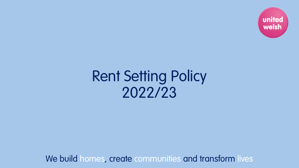

# Rent Setting Policy 2022/23

We build homes, create communities and transform lives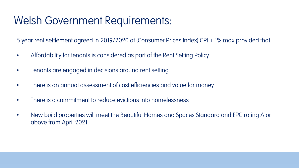#### Welsh Government Requirements:

5 year rent settlement agreed in 2019/2020 at (Consumer Prices Index) CPI + 1% max provided that:

- Affordability for tenants is considered as part of the Rent Setting Policy
- Tenants are engaged in decisions around rent setting
- There is an annual assessment of cost efficiencies and value for money
- There is a commitment to reduce evictions into homelessness
- New build properties will meet the Beautiful Homes and Spaces Standard and EPC rating A or above from April 2021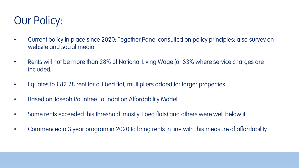### Our Policy:

- Current policy in place since 2020; Together Panel consulted on policy principles; also survey on website and social media
- Rents will not be more than 28% of National Living Wage (or 33% where service charges are included)
- Equates to £82.28 rent for a 1 bed flat; multipliers added for larger properties
- Based on Joseph Rountree Foundation Affordability Model
- Some rents exceeded this threshold (mostly 1 bed flats) and others were well below it
- Commenced a 3 year program in 2020 to bring rents in line with this measure of affordability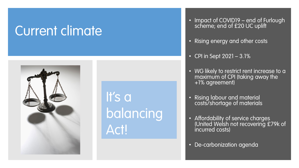# Current climate



It's a balancing Act!

- Impact of COVID19 end of Furlough scheme; end of £20 UC uplift
- Rising energy and other costs
- CPI in Sept 2021 3.1%
- WG likely to restrict rent increase to a maximum of CPI (taking away the +1% agreement)
- Rising labour and material costs/shortage of materials
- Affordability of service charges (United Welsh not recovering £79k of<br>incurred costs)
- De-carbonization agenda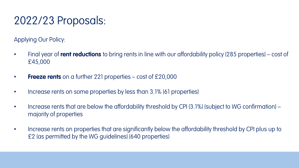### 2022/23 Proposals:

Applying Our Policy:

- Final year of **rent reductions** to bring rents in line with our affordability policy (285 properties) cost of £45,000
- **Freeze rents** on a further 221 properties cost of £20,000
- Increase rents on some properties by less than 3.1% (61 properties)
- Increase rents that are below the affordability threshold by CPI (3.1%) (subject to WG confirmation) majority of properties
- Increase rents on properties that are significantly below the affordability threshold by CPI plus up to £2 (as permitted by the WG guidelines) (640 properties)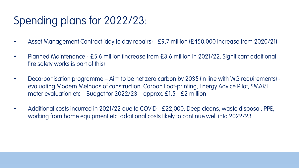## Spending plans for 2022/23:

- Asset Management Contract (day to day repairs) £9.7 million (£450,000 increase from 2020/21)
- Planned Maintenance £5.6 million (increase from £3.6 million in 2021/22. Significant additional fire safety works is part of this)
- Decarbonisation programme Aim to be net zero carbon by 2035 (in line with WG requirements) evaluating Modern Methods of construction; Carbon Foot-printing, Energy Advice Pilot, SMART meter evaluation etc – Budget for  $2022/23$  – approx. £1.5 - £2 million
- Additional costs incurred in 2021/22 due to COVID £22,000. Deep cleans, waste disposal, PPE, working from home equipment etc. additional costs likely to continue well into 2022/23